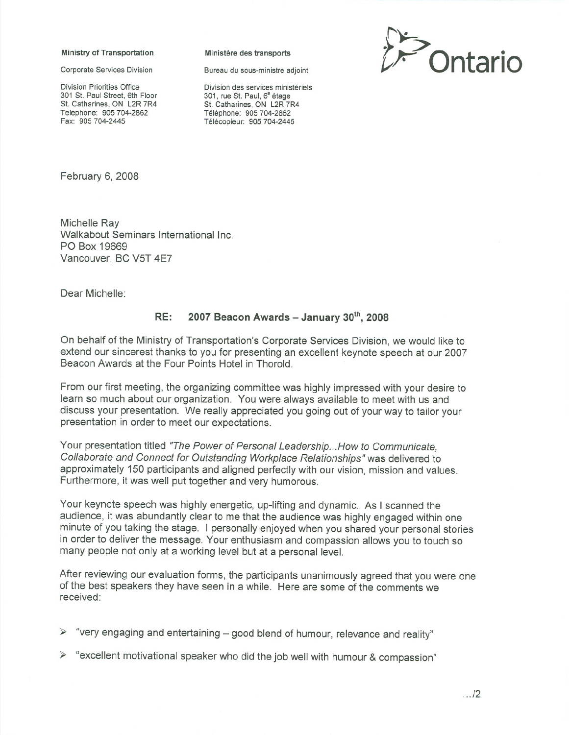## Ministry of Transportation Ministère des transports

Division Priorities Office 301 St. Paul Street, 6th Floor St. Catharines, ON L2R 7R4 Telephone: 905 704-2862 Fax: 905 704-2445

Division des services ministériels 301, rue St. Paul, 6" etage St. Catharines, ON L2R 7R4 Téléphone: 905 704-2862 Télécopieur: 905 704-2445



February 6, 2008

Michelle Ray Walkabout Seminars International Inc. PO Box 19669 Vancouver, BC V5T 4E7

Dear Michelle:

## RE:  $2007$  Beacon Awards - January  $30<sup>th</sup>$ , 2008

On behalf of the Ministry of Transportation's Corporate Services Division, we would like to extend our sincerest thanks to you for presenting an excellent keynote speech at our 2007 Beacon Awards at the Four Points Hotel in Thorold.

From our first meeting, the organizing committee was highly impressed with your desire to learn so much about our organization. You were always available to meet with us and discuss your presentation. We really appreciated you going out of your way to tailor your presentation in order to meet our expectations.

Your presentation titled "The Power of Personal Leadership... How to Communicate, Collaborate and Connect for Outstanding Workplace Relationships" was delivered to approximately 150 participants and aligned perfectly with our vision, mission and values. Furthermore, it was well put together and very humorous.

Your keynote speech was highly energetic, up-lifting and dynamic. As I scanned the audience, it was abundantly clear to me that the audience was highly engaged within one minute of you taking the stage. I personally enjoyed when you shared your personal stories in order to deliver the message. Your enthusiasm and compassion allows you to touch so many people not only at a working level but at a personal level.

After reviewing our evaluation forms, the participants unanimously agreed that you were one of the best speakers they have seen in a while. Here are some of the comments we received:

 $\triangleright$  "very engaging and entertaining – good blend of humour, relevance and reality"

 $\triangleright$  "excellent motivational speaker who did the job well with humour & compassion"